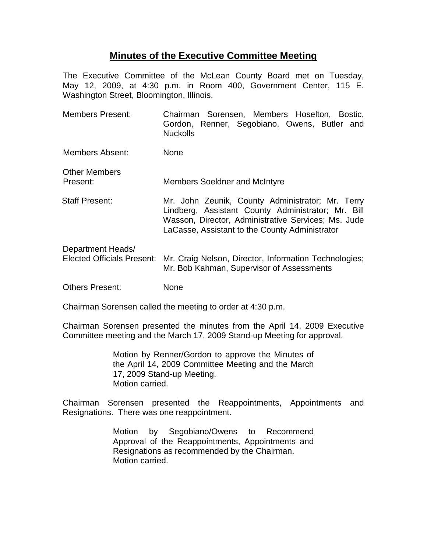## **Minutes of the Executive Committee Meeting**

The Executive Committee of the McLean County Board met on Tuesday, May 12, 2009, at 4:30 p.m. in Room 400, Government Center, 115 E. Washington Street, Bloomington, Illinois.

- Members Present: Chairman Sorensen, Members Hoselton, Bostic, Gordon, Renner, Segobiano, Owens, Butler and Nuckolls
- Members Absent: None
- Other Members Present: Members Soeldner and McIntyre
- Staff Present: Mr. John Zeunik, County Administrator; Mr. Terry Lindberg, Assistant County Administrator; Mr. Bill Wasson, Director, Administrative Services; Ms. Jude LaCasse, Assistant to the County Administrator
- Department Heads/ Elected Officials Present: Mr. Craig Nelson, Director, Information Technologies; Mr. Bob Kahman, Supervisor of Assessments
- Others Present: None

Chairman Sorensen called the meeting to order at 4:30 p.m.

Chairman Sorensen presented the minutes from the April 14, 2009 Executive Committee meeting and the March 17, 2009 Stand-up Meeting for approval.

> Motion by Renner/Gordon to approve the Minutes of the April 14, 2009 Committee Meeting and the March 17, 2009 Stand-up Meeting. Motion carried.

Chairman Sorensen presented the Reappointments, Appointments and Resignations. There was one reappointment.

> Motion by Segobiano/Owens to Recommend Approval of the Reappointments, Appointments and Resignations as recommended by the Chairman. Motion carried.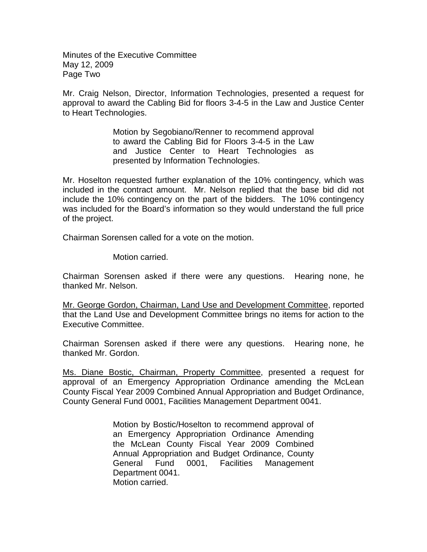Minutes of the Executive Committee May 12, 2009 Page Two

Mr. Craig Nelson, Director, Information Technologies, presented a request for approval to award the Cabling Bid for floors 3-4-5 in the Law and Justice Center to Heart Technologies.

> Motion by Segobiano/Renner to recommend approval to award the Cabling Bid for Floors 3-4-5 in the Law and Justice Center to Heart Technologies as presented by Information Technologies.

Mr. Hoselton requested further explanation of the 10% contingency, which was included in the contract amount. Mr. Nelson replied that the base bid did not include the 10% contingency on the part of the bidders. The 10% contingency was included for the Board's information so they would understand the full price of the project.

Chairman Sorensen called for a vote on the motion.

Motion carried.

Chairman Sorensen asked if there were any questions. Hearing none, he thanked Mr. Nelson.

Mr. George Gordon, Chairman, Land Use and Development Committee, reported that the Land Use and Development Committee brings no items for action to the Executive Committee.

Chairman Sorensen asked if there were any questions. Hearing none, he thanked Mr. Gordon.

Ms. Diane Bostic, Chairman, Property Committee, presented a request for approval of an Emergency Appropriation Ordinance amending the McLean County Fiscal Year 2009 Combined Annual Appropriation and Budget Ordinance, County General Fund 0001, Facilities Management Department 0041.

> Motion by Bostic/Hoselton to recommend approval of an Emergency Appropriation Ordinance Amending the McLean County Fiscal Year 2009 Combined Annual Appropriation and Budget Ordinance, County General Fund 0001, Facilities Management Department 0041. Motion carried.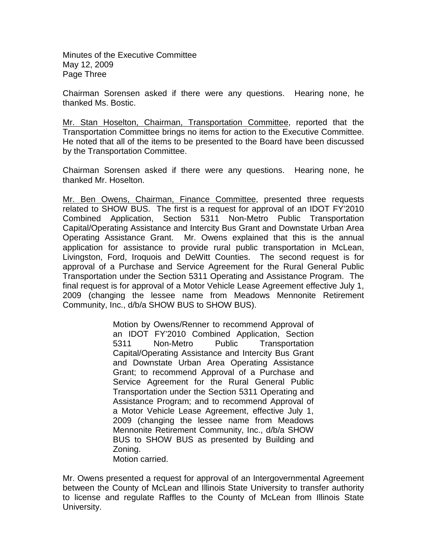Minutes of the Executive Committee May 12, 2009 Page Three

Chairman Sorensen asked if there were any questions. Hearing none, he thanked Ms. Bostic.

Mr. Stan Hoselton, Chairman, Transportation Committee, reported that the Transportation Committee brings no items for action to the Executive Committee. He noted that all of the items to be presented to the Board have been discussed by the Transportation Committee.

Chairman Sorensen asked if there were any questions. Hearing none, he thanked Mr. Hoselton.

Mr. Ben Owens, Chairman, Finance Committee, presented three requests related to SHOW BUS. The first is a request for approval of an IDOT FY'2010 Combined Application, Section 5311 Non-Metro Public Transportation Capital/Operating Assistance and Intercity Bus Grant and Downstate Urban Area Operating Assistance Grant. Mr. Owens explained that this is the annual application for assistance to provide rural public transportation in McLean, Livingston, Ford, Iroquois and DeWitt Counties. The second request is for approval of a Purchase and Service Agreement for the Rural General Public Transportation under the Section 5311 Operating and Assistance Program. The final request is for approval of a Motor Vehicle Lease Agreement effective July 1, 2009 (changing the lessee name from Meadows Mennonite Retirement Community, Inc., d/b/a SHOW BUS to SHOW BUS).

> Motion by Owens/Renner to recommend Approval of an IDOT FY'2010 Combined Application, Section 5311 Non-Metro Public Transportation Capital/Operating Assistance and Intercity Bus Grant and Downstate Urban Area Operating Assistance Grant; to recommend Approval of a Purchase and Service Agreement for the Rural General Public Transportation under the Section 5311 Operating and Assistance Program; and to recommend Approval of a Motor Vehicle Lease Agreement, effective July 1, 2009 (changing the lessee name from Meadows Mennonite Retirement Community, Inc., d/b/a SHOW BUS to SHOW BUS as presented by Building and Zoning. Motion carried.

Mr. Owens presented a request for approval of an Intergovernmental Agreement between the County of McLean and Illinois State University to transfer authority to license and regulate Raffles to the County of McLean from Illinois State University.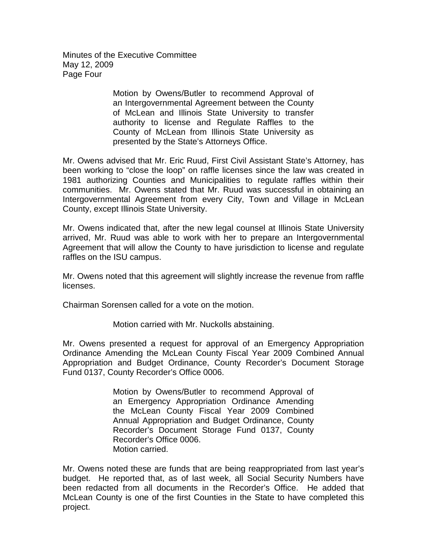Minutes of the Executive Committee May 12, 2009 Page Four

> Motion by Owens/Butler to recommend Approval of an Intergovernmental Agreement between the County of McLean and Illinois State University to transfer authority to license and Regulate Raffles to the County of McLean from Illinois State University as presented by the State's Attorneys Office.

Mr. Owens advised that Mr. Eric Ruud, First Civil Assistant State's Attorney, has been working to "close the loop" on raffle licenses since the law was created in 1981 authorizing Counties and Municipalities to regulate raffles within their communities. Mr. Owens stated that Mr. Ruud was successful in obtaining an Intergovernmental Agreement from every City, Town and Village in McLean County, except Illinois State University.

Mr. Owens indicated that, after the new legal counsel at Illinois State University arrived, Mr. Ruud was able to work with her to prepare an Intergovernmental Agreement that will allow the County to have jurisdiction to license and regulate raffles on the ISU campus.

Mr. Owens noted that this agreement will slightly increase the revenue from raffle licenses.

Chairman Sorensen called for a vote on the motion.

Motion carried with Mr. Nuckolls abstaining.

Mr. Owens presented a request for approval of an Emergency Appropriation Ordinance Amending the McLean County Fiscal Year 2009 Combined Annual Appropriation and Budget Ordinance, County Recorder's Document Storage Fund 0137, County Recorder's Office 0006.

> Motion by Owens/Butler to recommend Approval of an Emergency Appropriation Ordinance Amending the McLean County Fiscal Year 2009 Combined Annual Appropriation and Budget Ordinance, County Recorder's Document Storage Fund 0137, County Recorder's Office 0006. Motion carried.

Mr. Owens noted these are funds that are being reappropriated from last year's budget. He reported that, as of last week, all Social Security Numbers have been redacted from all documents in the Recorder's Office. He added that McLean County is one of the first Counties in the State to have completed this project.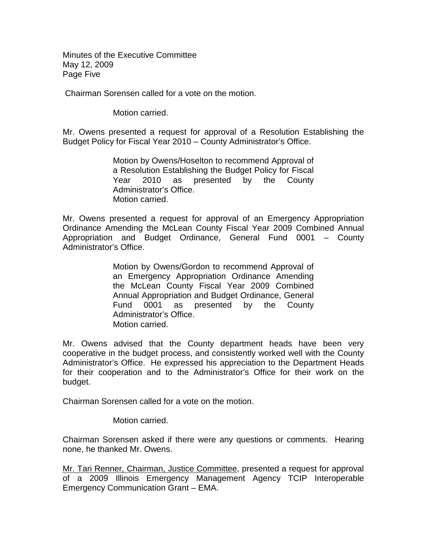Minutes of the Executive Committee May 12, 2009 Page Five

Chairman Sorensen called for a vote on the motion.

Motion carried.

Mr. Owens presented a request for approval of a Resolution Establishing the Budget Policy for Fiscal Year 2010 – County Administrator's Office.

> Motion by Owens/Hoselton to recommend Approval of a Resolution Establishing the Budget Policy for Fiscal Year 2010 as presented by the County Administrator's Office. Motion carried.

Mr. Owens presented a request for approval of an Emergency Appropriation Ordinance Amending the McLean County Fiscal Year 2009 Combined Annual Appropriation and Budget Ordinance, General Fund 0001 – County Administrator's Office.

> Motion by Owens/Gordon to recommend Approval of an Emergency Appropriation Ordinance Amending the McLean County Fiscal Year 2009 Combined Annual Appropriation and Budget Ordinance, General Fund 0001 as presented by the County Administrator's Office. Motion carried.

Mr. Owens advised that the County department heads have been very cooperative in the budget process, and consistently worked well with the County Administrator's Office.He expressed his appreciation to the Department Heads for their cooperation and to the Administrator's Office for their work on the budget.

Chairman Sorensen called for a vote on the motion.

Motion carried.

Chairman Sorensen asked if there were any questions or comments. Hearing none, he thanked Mr. Owens.

Mr. Tari Renner, Chairman, Justice Committee, presented a request for approval of a 2009 Illinois Emergency Management Agency TCIP Interoperable Emergency Communication Grant – EMA.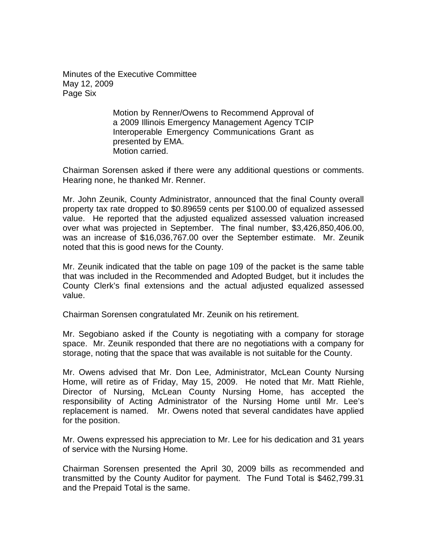Minutes of the Executive Committee May 12, 2009 Page Six

> Motion by Renner/Owens to Recommend Approval of a 2009 Illinois Emergency Management Agency TCIP Interoperable Emergency Communications Grant as presented by EMA. Motion carried.

Chairman Sorensen asked if there were any additional questions or comments. Hearing none, he thanked Mr. Renner.

Mr. John Zeunik, County Administrator, announced that the final County overall property tax rate dropped to \$0.89659 cents per \$100.00 of equalized assessed value. He reported that the adjusted equalized assessed valuation increased over what was projected in September. The final number, \$3,426,850,406.00, was an increase of \$16,036,767.00 over the September estimate. Mr. Zeunik noted that this is good news for the County.

Mr. Zeunik indicated that the table on page 109 of the packet is the same table that was included in the Recommended and Adopted Budget, but it includes the County Clerk's final extensions and the actual adjusted equalized assessed value.

Chairman Sorensen congratulated Mr. Zeunik on his retirement.

Mr. Segobiano asked if the County is negotiating with a company for storage space. Mr. Zeunik responded that there are no negotiations with a company for storage, noting that the space that was available is not suitable for the County.

Mr. Owens advised that Mr. Don Lee, Administrator, McLean County Nursing Home, will retire as of Friday, May 15, 2009. He noted that Mr. Matt Riehle, Director of Nursing, McLean County Nursing Home, has accepted the responsibility of Acting Administrator of the Nursing Home until Mr. Lee's replacement is named. Mr. Owens noted that several candidates have applied for the position.

Mr. Owens expressed his appreciation to Mr. Lee for his dedication and 31 years of service with the Nursing Home.

Chairman Sorensen presented the April 30, 2009 bills as recommended and transmitted by the County Auditor for payment. The Fund Total is \$462,799.31 and the Prepaid Total is the same.